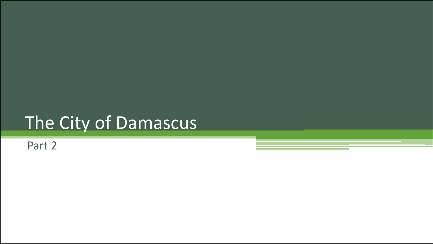## The City of Damascus

Part 2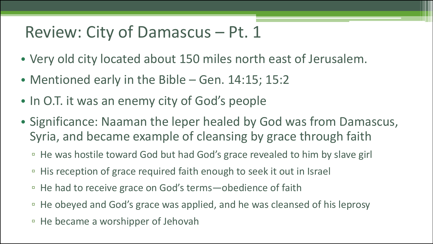## Review: City of Damascus – Pt. 1

- Very old city located about 150 miles north east of Jerusalem.
- Mentioned early in the Bible Gen. 14:15; 15:2
- In O.T. it was an enemy city of God's people
- Significance: Naaman the leper healed by God was from Damascus, Syria, and became example of cleansing by grace through faith
	- He was hostile toward God but had God's grace revealed to him by slave girl
	- His reception of grace required faith enough to seek it out in Israel
	- □ He had to receive grace on God's terms—obedience of faith
	- □ He obeyed and God's grace was applied, and he was cleansed of his leprosy
	- He became a worshipper of Jehovah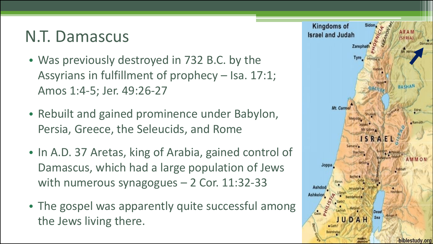### N.T. Damascus

- Was previously destroyed in 732 B.C. by the Assyrians in fulfillment of prophecy – Isa. 17:1; Amos 1:4-5; Jer. 49:26-27
- Rebuilt and gained prominence under Babylon, Persia, Greece, the Seleucids, and Rome
- In A.D. 37 Aretas, king of Arabia, gained control of Damascus, which had a large population of Jews with numerous synagogues - 2 Cor. 11:32-33
- The gospel was apparently quite successful among the Jews living there.

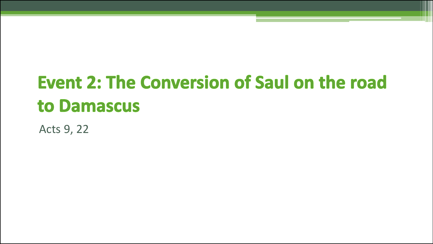# **Event 2: The Conversion of Saul on the road** to Damascus

Acts 9, 22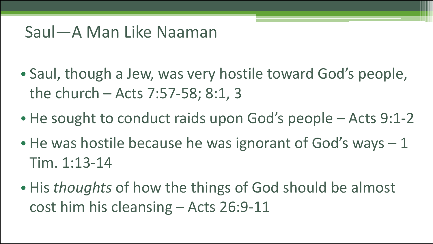### Saul—A Man Like Naaman

- Saul, though a Jew, was very hostile toward God's people, the church – Acts 7:57-58; 8:1, 3
- He sought to conduct raids upon God's people Acts 9:1-2
- He was hostile because he was ignorant of God's ways 1 Tim. 1:13-14
- His *thoughts* of how the things of God should be almost cost him his cleansing – Acts 26:9-11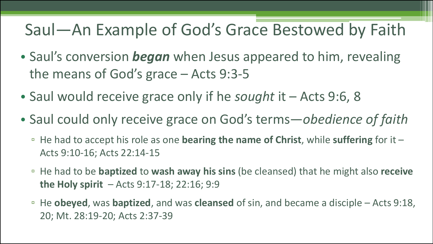### Saul—An Example of God's Grace Bestowed by Faith

- Saul's conversion *began* when Jesus appeared to him, revealing the means of God's grace – Acts 9:3-5
- Saul would receive grace only if he *sought* it Acts 9:6, 8
- Saul could only receive grace on God's terms—*obedience of faith*
	- He had to accept his role as one **bearing the name of Christ**, while **suffering** for it Acts 9:10-16; Acts 22:14-15
	- He had to be **baptized** to **wash away his sins** (be cleansed) that he might also **receive the Holy spirit** – Acts 9:17-18; 22:16; 9:9
	- He **obeyed**, was **baptized**, and was **cleansed** of sin, and became a disciple Acts 9:18, 20; Mt. 28:19-20; Acts 2:37-39